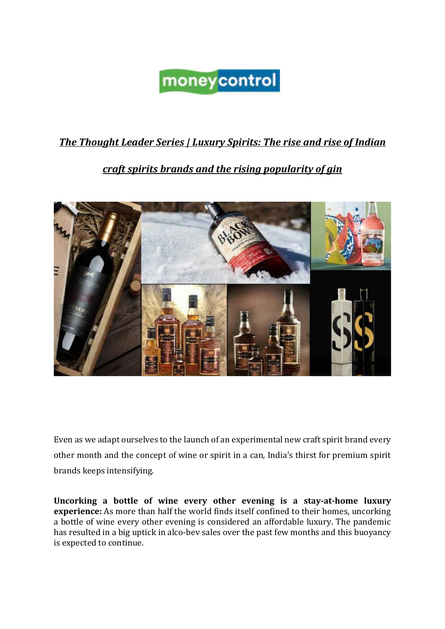## moneycontrol

## *The Thought Leader Series | Luxury Spirits: The rise and rise of Indian*

## *craft spirits brands and the rising popularity of gin*



Even as we adapt ourselves to the launch of an experimental new craft spirit brand every other month and the concept of wine or spirit in a can, India's thirst for premium spirit brands keeps intensifying.

**Uncorking a bottle of wine every other evening is a stay-at-home luxury experience:** As more than half the world finds itself confined to their homes, uncorking a bottle of wine every other evening is considered an affordable luxury. The pandemic has resulted in a big uptick in alco-bev sales over the past few months and this buoyancy is expected to continue.